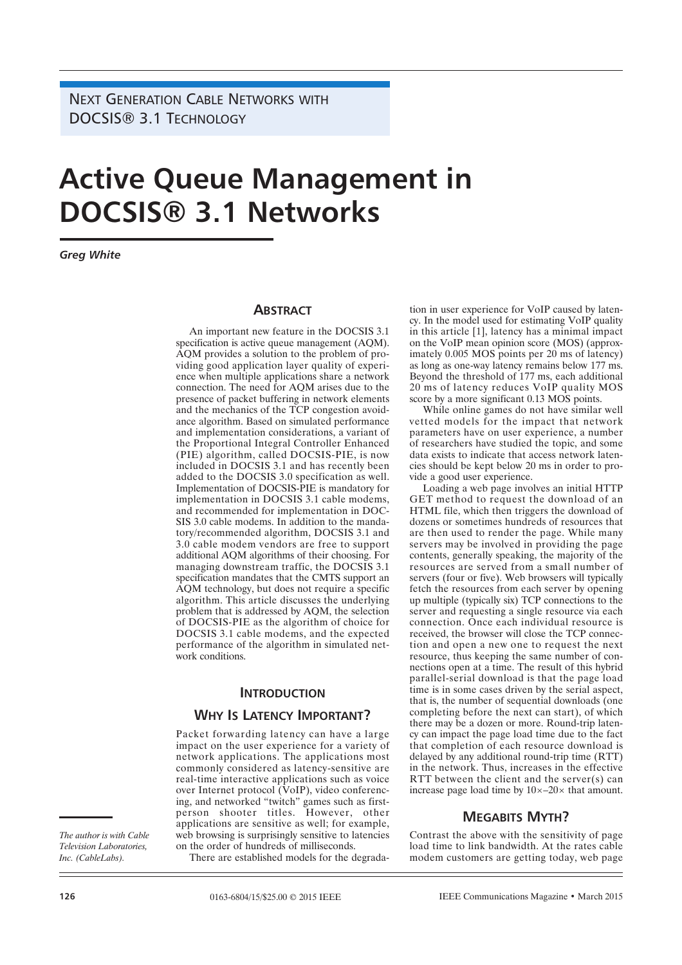NEXT GENERATION CABLE NETWORKS WITH DOCSIS® 3.1 TECHNOLOGY

# **Active Queue Management in DOCSIS® 3.1 Networks**

*Greg White*

### **ABSTRACT**

An important new feature in the DOCSIS 3.1 specification is active queue management (AQM). AQM provides a solution to the problem of providing good application layer quality of experience when multiple applications share a network connection. The need for AQM arises due to the presence of packet buffering in network elements and the mechanics of the TCP congestion avoidance algorithm. Based on simulated performance and implementation considerations, a variant of the Proportional Integral Controller Enhanced (PIE) algorithm, called DOCSIS-PIE, is now included in DOCSIS 3.1 and has recently been added to the DOCSIS 3.0 specification as well. Implementation of DOCSIS-PIE is mandatory for implementation in DOCSIS 3.1 cable modems, and recommended for implementation in DOC-SIS 3.0 cable modems. In addition to the mandatory/recommended algorithm, DOCSIS 3.1 and 3.0 cable modem vendors are free to support additional AQM algorithms of their choosing. For managing downstream traffic, the DOCSIS 3.1 specification mandates that the CMTS support an AQM technology, but does not require a specific algorithm. This article discusses the underlying problem that is addressed by AQM, the selection of DOCSIS-PIE as the algorithm of choice for DOCSIS 3.1 cable modems, and the expected performance of the algorithm in simulated network conditions.

### **INTRODUCTION**

## **WHY IS LATENCY IMPORTANT?**

Packet forwarding latency can have a large impact on the user experience for a variety of network applications. The applications most commonly considered as latency-sensitive are real-time interactive applications such as voice over Internet protocol (VoIP), video conferencing, and networked "twitch" games such as firstperson shooter titles. However, other applications are sensitive as well; for example, web browsing is surprisingly sensitive to latencies on the order of hundreds of milliseconds.

There are established models for the degrada-

tion in user experience for VoIP caused by latency. In the model used for estimating VoIP quality in this article [1], latency has a minimal impact on the VoIP mean opinion score (MOS) (approximately 0.005 MOS points per 20 ms of latency) as long as one-way latency remains below 177 ms. Beyond the threshold of 177 ms, each additional 20 ms of latency reduces VoIP quality MOS score by a more significant 0.13 MOS points.

While online games do not have similar well vetted models for the impact that network parameters have on user experience, a number of researchers have studied the topic, and some data exists to indicate that access network latencies should be kept below 20 ms in order to provide a good user experience.

Loading a web page involves an initial HTTP GET method to request the download of an HTML file, which then triggers the download of dozens or sometimes hundreds of resources that are then used to render the page. While many servers may be involved in providing the page contents, generally speaking, the majority of the resources are served from a small number of servers (four or five). Web browsers will typically fetch the resources from each server by opening up multiple (typically six) TCP connections to the server and requesting a single resource via each connection. Once each individual resource is received, the browser will close the TCP connection and open a new one to request the next resource, thus keeping the same number of connections open at a time. The result of this hybrid parallel-serial download is that the page load time is in some cases driven by the serial aspect, that is, the number of sequential downloads (one completing before the next can start), of which there may be a dozen or more. Round-trip latency can impact the page load time due to the fact that completion of each resource download is delayed by any additional round-trip time (RTT) in the network. Thus, increases in the effective RTT between the client and the server(s) can increase page load time by  $10 \times -20 \times$  that amount.

## **MEGABITS MYTH?**

Contrast the above with the sensitivity of page load time to link bandwidth. At the rates cable modem customers are getting today, web page

*The author is with Cable Television Laboratories, Inc. (CableLabs).*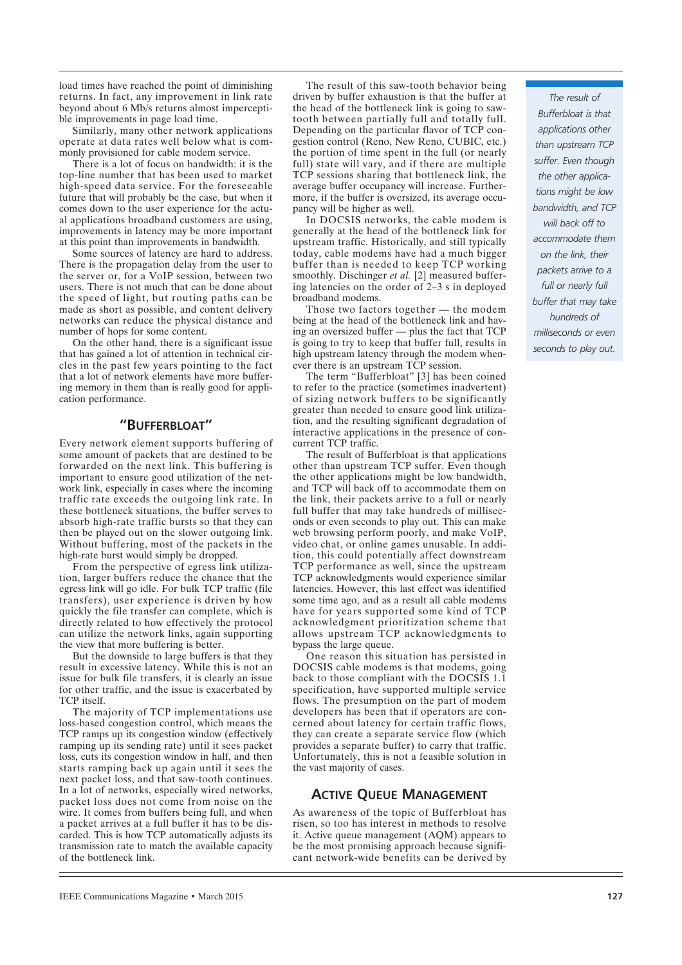load times have reached the point of diminishing returns. In fact, any improvement in link rate beyond about 6 Mb/s returns almost imperceptible improvements in page load time.

Similarly, many other network applications operate at data rates well below what is commonly provisioned for cable modem service.

There is a lot of focus on bandwidth: it is the top-line number that has been used to market high-speed data service. For the foreseeable future that will probably be the case, but when it comes down to the user experience for the actual applications broadband customers are using, improvements in latency may be more important at this point than improvements in bandwidth.

Some sources of latency are hard to address. There is the propagation delay from the user to the server or, for a VoIP session, between two users. There is not much that can be done about the speed of light, but routing paths can be made as short as possible, and content delivery networks can reduce the physical distance and number of hops for some content.

On the other hand, there is a significant issue that has gained a lot of attention in technical circles in the past few years pointing to the fact that a lot of network elements have more buffering memory in them than is really good for application performance.

## **"BUFFERBLOAT"**

Every network element supports buffering of some amount of packets that are destined to be forwarded on the next link. This buffering is important to ensure good utilization of the network link, especially in cases where the incoming traffic rate exceeds the outgoing link rate. In these bottleneck situations, the buffer serves to absorb high-rate traffic bursts so that they can then be played out on the slower outgoing link. Without buffering, most of the packets in the high-rate burst would simply be dropped.

From the perspective of egress link utilization, larger buffers reduce the chance that the egress link will go idle. For bulk TCP traffic (file transfers), user experience is driven by how quickly the file transfer can complete, which is directly related to how effectively the protocol can utilize the network links, again supporting the view that more buffering is better.

But the downside to large buffers is that they result in excessive latency. While this is not an issue for bulk file transfers, it is clearly an issue for other traffic, and the issue is exacerbated by TCP itself.

The majority of TCP implementations use loss-based congestion control, which means the TCP ramps up its congestion window (effectively ramping up its sending rate) until it sees packet loss, cuts its congestion window in half, and then starts ramping back up again until it sees the next packet loss, and that saw-tooth continues. In a lot of networks, especially wired networks, packet loss does not come from noise on the wire. It comes from buffers being full, and when a packet arrives at a full buffer it has to be discarded. This is how TCP automatically adjusts its transmission rate to match the available capacity of the bottleneck link.

The result of this saw-tooth behavior being driven by buffer exhaustion is that the buffer at the head of the bottleneck link is going to sawtooth between partially full and totally full. Depending on the particular flavor of TCP congestion control (Reno, New Reno, CUBIC, etc.) the portion of time spent in the full (or nearly full) state will vary, and if there are multiple TCP sessions sharing that bottleneck link, the average buffer occupancy will increase. Furthermore, if the buffer is oversized, its average occupancy will be higher as well.

In DOCSIS networks, the cable modem is generally at the head of the bottleneck link for upstream traffic. Historically, and still typically today, cable modems have had a much bigger buffer than is needed to keep TCP working smoothly. Dischinger *et al.* [2] measured buffering latencies on the order of 2–3 s in deployed broadband modems.

Those two factors together — the modem being at the head of the bottleneck link and having an oversized buffer — plus the fact that TCP is going to try to keep that buffer full, results in high upstream latency through the modem whenever there is an upstream TCP session.

The term "Bufferbloat" [3] has been coined to refer to the practice (sometimes inadvertent) of sizing network buffers to be significantly greater than needed to ensure good link utilization, and the resulting significant degradation of interactive applications in the presence of concurrent TCP traffic.

The result of Bufferbloat is that applications other than upstream TCP suffer. Even though the other applications might be low bandwidth, and TCP will back off to accommodate them on the link, their packets arrive to a full or nearly full buffer that may take hundreds of milliseconds or even seconds to play out. This can make web browsing perform poorly, and make VoIP, video chat, or online games unusable. In addition, this could potentially affect downstream TCP performance as well, since the upstream TCP acknowledgments would experience similar latencies. However, this last effect was identified some time ago, and as a result all cable modems have for years supported some kind of TCP acknowledgment prioritization scheme that allows upstream TCP acknowledgments to bypass the large queue.

One reason this situation has persisted in DOCSIS cable modems is that modems, going back to those compliant with the DOCSIS 1.1 specification, have supported multiple service flows. The presumption on the part of modem developers has been that if operators are concerned about latency for certain traffic flows, they can create a separate service flow (which provides a separate buffer) to carry that traffic. Unfortunately, this is not a feasible solution in the vast majority of cases.

# **ACTIVE QUEUE MANAGEMENT**

As awareness of the topic of Bufferbloat has risen, so too has interest in methods to resolve it. Active queue management (AQM) appears to be the most promising approach because significant network-wide benefits can be derived by

*The result of Bufferbloat is that applications other than upstream TCP suffer. Even though the other applications might be low bandwidth, and TCP will back off to accommodate them on the link, their packets arrive to a full or nearly full buffer that may take hundreds of milliseconds or even seconds to play out.*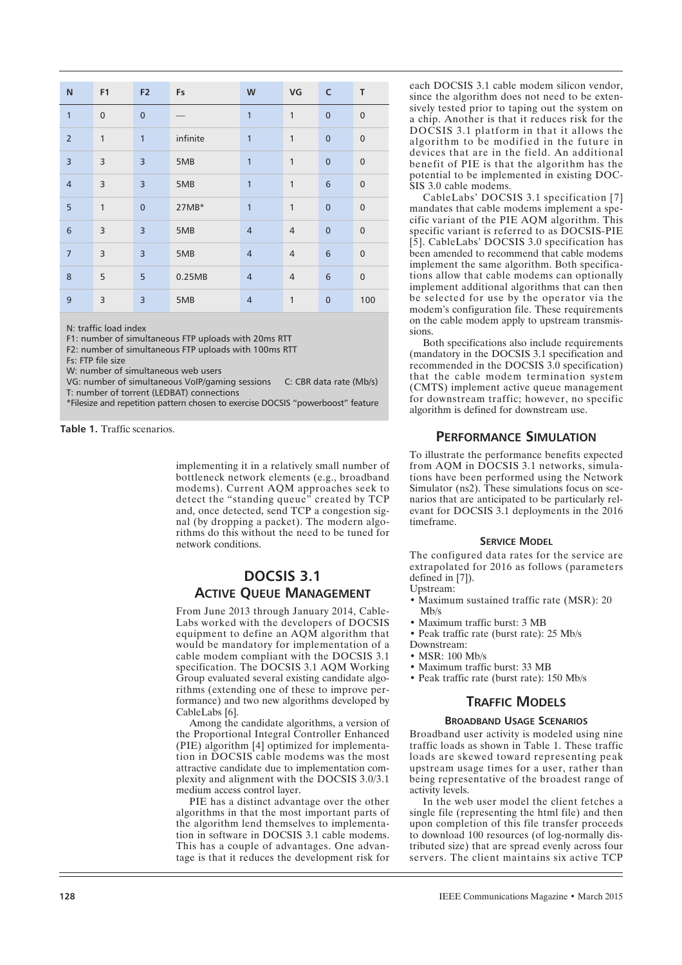| ${\sf N}$       | F <sub>1</sub>          | F <sub>2</sub> | Fs       | W              | VG             | $\mathsf{C}$   | $\mathsf T$      |
|-----------------|-------------------------|----------------|----------|----------------|----------------|----------------|------------------|
| $\mathbf{1}$    | $\mathbf{0}$            | $\overline{0}$ |          | 1              | 1              | $\overline{0}$ | $\pmb{0}$        |
| $\overline{2}$  | $\mathbf{1}$            | $\mathbf{1}$   | infinite | $\overline{1}$ | $\mathbf{1}$   | $\mathbf 0$    | $\boldsymbol{0}$ |
| $\overline{3}$  | 3                       | $\overline{3}$ | 5MB      | $\overline{1}$ | 1              | $\mathbf 0$    | $\pmb{0}$        |
| $\overline{4}$  | 3                       | $\overline{3}$ | 5MB      | $\overline{1}$ | $\mathbf{1}$   | $6\phantom{1}$ | $\pmb{0}$        |
| 5               | $\mathbf{1}$            | $\overline{0}$ | $27MB*$  | $\overline{1}$ | $\mathbf{1}$   | $\mathbf 0$    | $\pmb{0}$        |
| $6\phantom{1}6$ | 3                       | $\overline{3}$ | 5MB      | $\overline{4}$ | $\overline{4}$ | $\mathbf 0$    | $\pmb{0}$        |
| $\overline{7}$  | $\overline{\mathbf{3}}$ | $\overline{3}$ | 5MB      | $\overline{4}$ | $\overline{4}$ | $6\phantom{1}$ | $\pmb{0}$        |
| 8               | 5                       | 5              | 0.25MB   | $\overline{4}$ | $\overline{4}$ | 6              | $\pmb{0}$        |
| 9               | $\overline{\mathbf{3}}$ | $\overline{3}$ | 5MB      | $\overline{4}$ | $\mathbf{1}$   | $\mathbf 0$    | 100              |

N: traffic load index

F1: number of simultaneous FTP uploads with 20ms RTT

F2: number of simultaneous FTP uploads with 100ms RTT

Fs: FTP file size

W: number of simultaneous web users

VG: number of simultaneous VoIP/gaming sessions C: CBR data rate (Mb/s) T: number of torrent (LEDBAT) connections

\*Filesize and repetition pattern chosen to exercise DOCSIS "powerboost" feature

**Table 1.** Traffic scenarios.

implementing it in a relatively small number of bottleneck network elements (e.g., broadband modems). Current AQM approaches seek to detect the "standing queue" created by TCP and, once detected, send TCP a congestion signal (by dropping a packet). The modern algorithms do this without the need to be tuned for network conditions.

# **DOCSIS 3.1 ACTIVE QUEUE MANAGEMENT**

From June 2013 through January 2014, Cable-Labs worked with the developers of DOCSIS equipment to define an AQM algorithm that would be mandatory for implementation of a cable modem compliant with the DOCSIS 3.1 specification. The DOCSIS 3.1 AQM Working Group evaluated several existing candidate algorithms (extending one of these to improve performance) and two new algorithms developed by CableLabs [6].

Among the candidate algorithms, a version of the Proportional Integral Controller Enhanced (PIE) algorithm [4] optimized for implementation in DOCSIS cable modems was the most attractive candidate due to implementation complexity and alignment with the DOCSIS 3.0/3.1 medium access control layer.

PIE has a distinct advantage over the other algorithms in that the most important parts of the algorithm lend themselves to implementation in software in DOCSIS 3.1 cable modems. This has a couple of advantages. One advantage is that it reduces the development risk for each DOCSIS 3.1 cable modem silicon vendor, since the algorithm does not need to be extensively tested prior to taping out the system on a chip. Another is that it reduces risk for the DOCSIS 3.1 platform in that it allows the algorithm to be modified in the future in devices that are in the field. An additional benefit of PIE is that the algorithm has the potential to be implemented in existing DOC-SIS 3.0 cable modems.

CableLabs' DOCSIS 3.1 specification [7] mandates that cable modems implement a specific variant of the PIE AQM algorithm. This specific variant is referred to as DOCSIS-PIE [5]. CableLabs' DOCSIS 3.0 specification has been amended to recommend that cable modems implement the same algorithm. Both specifications allow that cable modems can optionally implement additional algorithms that can then be selected for use by the operator via the modem's configuration file. These requirements on the cable modem apply to upstream transmissions.

Both specifications also include requirements (mandatory in the DOCSIS 3.1 specification and recommended in the DOCSIS 3.0 specification) that the cable modem termination system (CMTS) implement active queue management for downstream traffic; however, no specific algorithm is defined for downstream use.

## **PERFORMANCE SIMULATION**

To illustrate the performance benefits expected from AQM in DOCSIS 3.1 networks, simulations have been performed using the Network Simulator (ns2). These simulations focus on scenarios that are anticipated to be particularly relevant for DOCSIS 3.1 deployments in the 2016 timeframe.

#### **SERVICE MODEL**

The configured data rates for the service are extrapolated for 2016 as follows (parameters defined in [7]).

- Upstream:
- Maximum sustained traffic rate (MSR): 20 Mb/s
- Maximum traffic burst: 3 MB
- Peak traffic rate (burst rate): 25 Mb/s
- Downstream:
- MSR: 100 Mb/s
- Maximum traffic burst: 33 MB
- Peak traffic rate (burst rate): 150 Mb/s

## **TRAFFIC MODELS**

#### **BROADBAND USAGE SCENARIOS**

Broadband user activity is modeled using nine traffic loads as shown in Table 1. These traffic loads are skewed toward representing peak upstream usage times for a user, rather than being representative of the broadest range of activity levels.

In the web user model the client fetches a single file (representing the html file) and then upon completion of this file transfer proceeds to download 100 resources (of log-normally distributed size) that are spread evenly across four servers. The client maintains six active TCP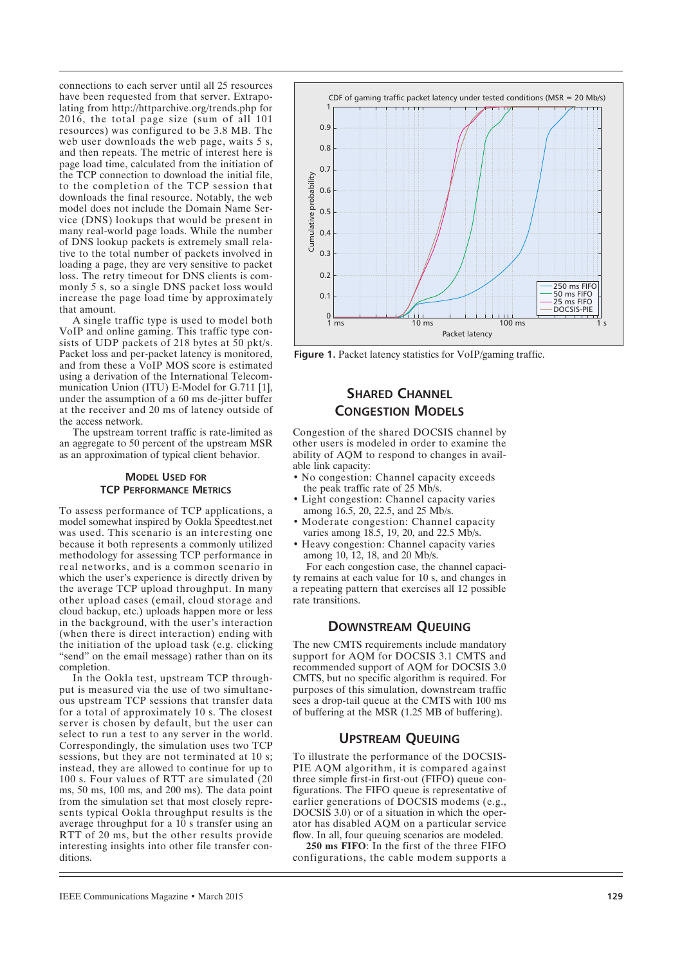connections to each server until all 25 resources have been requested from that server. Extrapolating from http://httparchive.org/trends.php for 2016, the total page size (sum of all 101 resources) was configured to be 3.8 MB. The web user downloads the web page, waits 5 s, and then repeats. The metric of interest here is page load time, calculated from the initiation of the TCP connection to download the initial file, to the completion of the TCP session that downloads the final resource. Notably, the web model does not include the Domain Name Service (DNS) lookups that would be present in many real-world page loads. While the number of DNS lookup packets is extremely small relative to the total number of packets involved in loading a page, they are very sensitive to packet loss. The retry timeout for DNS clients is commonly 5 s, so a single DNS packet loss would increase the page load time by approximately that amount.

A single traffic type is used to model both VoIP and online gaming. This traffic type consists of UDP packets of 218 bytes at 50 pkt/s. Packet loss and per-packet latency is monitored, and from these a VoIP MOS score is estimated using a derivation of the International Telecommunication Union (ITU) E-Model for G.711 [1], under the assumption of a 60 ms de-jitter buffer at the receiver and 20 ms of latency outside of the access network.

The upstream torrent traffic is rate-limited as an aggregate to 50 percent of the upstream MSR as an approximation of typical client behavior.

## **MODEL USED FOR TCP PERFORMANCE METRICS**

To assess performance of TCP applications, a model somewhat inspired by Ookla Speedtest.net was used. This scenario is an interesting one because it both represents a commonly utilized methodology for assessing TCP performance in real networks, and is a common scenario in which the user's experience is directly driven by the average TCP upload throughput. In many other upload cases (email, cloud storage and cloud backup, etc.) uploads happen more or less in the background, with the user's interaction (when there is direct interaction) ending with the initiation of the upload task (e.g. clicking "send" on the email message) rather than on its completion.

In the Ookla test, upstream TCP throughput is measured via the use of two simultaneous upstream TCP sessions that transfer data for a total of approximately 10 s. The closest server is chosen by default, but the user can select to run a test to any server in the world. Correspondingly, the simulation uses two TCP sessions, but they are not terminated at 10 s; instead, they are allowed to continue for up to 100 s. Four values of RTT are simulated (20 ms, 50 ms, 100 ms, and 200 ms). The data point from the simulation set that most closely represents typical Ookla throughput results is the average throughput for a 10 s transfer using an RTT of 20 ms, but the other results provide interesting insights into other file transfer conditions.



**Figure 1.** Packet latency statistics for VoIP/gaming traffic.

# **SHARED CHANNEL CONGESTION MODELS**

Congestion of the shared DOCSIS channel by other users is modeled in order to examine the ability of AQM to respond to changes in available link capacity:

- No congestion: Channel capacity exceeds the peak traffic rate of 25 Mb/s.
- Light congestion: Channel capacity varies among 16.5, 20, 22.5, and 25 Mb/s.
- Moderate congestion: Channel capacity varies among 18.5, 19, 20, and 22.5 Mb/s.
- Heavy congestion: Channel capacity varies among 10, 12, 18, and 20 Mb/s.

For each congestion case, the channel capacity remains at each value for 10 s, and changes in a repeating pattern that exercises all 12 possible rate transitions.

# **DOWNSTREAM QUEUING**

The new CMTS requirements include mandatory support for AQM for DOCSIS 3.1 CMTS and recommended support of AQM for DOCSIS 3.0 CMTS, but no specific algorithm is required. For purposes of this simulation, downstream traffic sees a drop-tail queue at the CMTS with 100 ms of buffering at the MSR (1.25 MB of buffering).

# **UPSTREAM QUEUING**

To illustrate the performance of the DOCSIS-PIE AQM algorithm, it is compared against three simple first-in first-out (FIFO) queue configurations. The FIFO queue is representative of earlier generations of DOCSIS modems (e.g., DOCSIS 3.0) or of a situation in which the operator has disabled AQM on a particular service flow. In all, four queuing scenarios are modeled. **250 ms FIFO**: In the first of the three FIFO

configurations, the cable modem supports a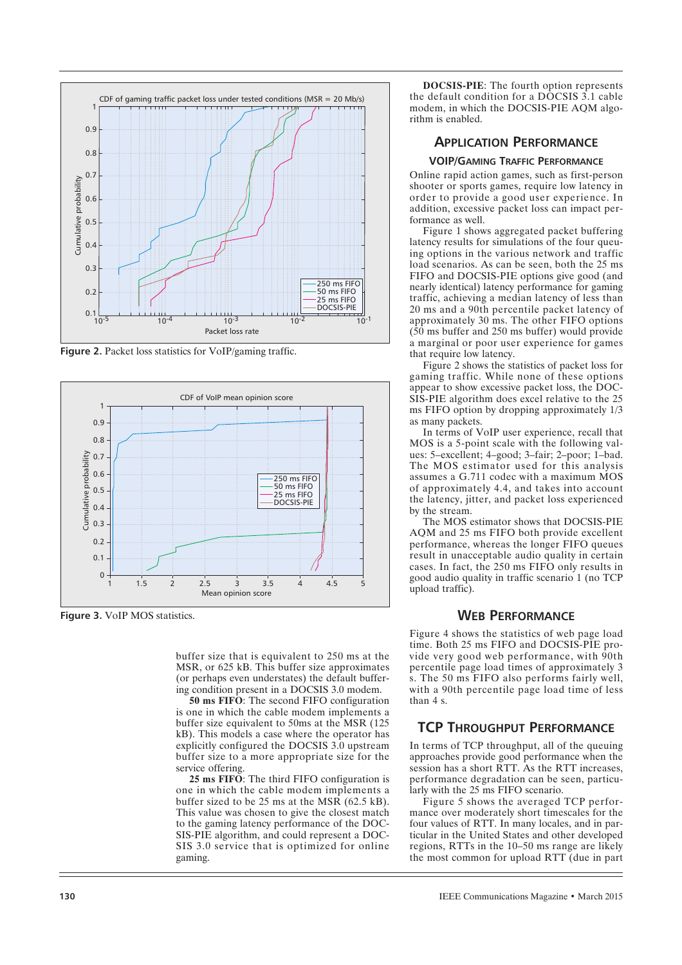

**Figure 2.** Packet loss statistics for VoIP/gaming traffic.



**Figure 3.** VoIP MOS statistics.

buffer size that is equivalent to 250 ms at the MSR, or 625 kB. This buffer size approximates (or perhaps even understates) the default buffering condition present in a DOCSIS 3.0 modem.

**50 ms FIFO**: The second FIFO configuration is one in which the cable modem implements a buffer size equivalent to 50ms at the MSR (125 kB). This models a case where the operator has explicitly configured the DOCSIS 3.0 upstream buffer size to a more appropriate size for the service offering.

**25 ms FIFO**: The third FIFO configuration is one in which the cable modem implements a buffer sized to be 25 ms at the MSR (62.5 kB). This value was chosen to give the closest match to the gaming latency performance of the DOC-SIS-PIE algorithm, and could represent a DOC-SIS 3.0 service that is optimized for online gaming.

**DOCSIS-PIE**: The fourth option represents the default condition for a DOCSIS 3.1 cable modem, in which the DOCSIS-PIE AQM algorithm is enabled.

# **APPLICATION PERFORMANCE**

#### **VOIP/GAMING TRAFFIC PERFORMANCE**

Online rapid action games, such as first-person shooter or sports games, require low latency in order to provide a good user experience. In addition, excessive packet loss can impact performance as well.

Figure 1 shows aggregated packet buffering latency results for simulations of the four queuing options in the various network and traffic load scenarios. As can be seen, both the 25 ms FIFO and DOCSIS-PIE options give good (and nearly identical) latency performance for gaming traffic, achieving a median latency of less than 20 ms and a 90th percentile packet latency of approximately 30 ms. The other FIFO options  $(50 \text{ ms buffer}$  and 250 ms buffer) would provide a marginal or poor user experience for games that require low latency.

Figure 2 shows the statistics of packet loss for gaming traffic. While none of these options appear to show excessive packet loss, the DOC-SIS-PIE algorithm does excel relative to the 25 ms FIFO option by dropping approximately 1/3 as many packets.

In terms of VoIP user experience, recall that MOS is a 5-point scale with the following values: 5–excellent; 4–good; 3–fair; 2–poor; 1–bad. The MOS estimator used for this analysis assumes a G.711 codec with a maximum MOS of approximately 4.4, and takes into account the latency, jitter, and packet loss experienced by the stream.

The MOS estimator shows that DOCSIS-PIE AQM and 25 ms FIFO both provide excellent performance, whereas the longer FIFO queues result in unacceptable audio quality in certain cases. In fact, the 250 ms FIFO only results in good audio quality in traffic scenario 1 (no TCP upload traffic).

## **WEB PERFORMANCE**

Figure 4 shows the statistics of web page load time. Both 25 ms FIFO and DOCSIS-PIE provide very good web performance, with  $90th$ percentile page load times of approximately 3 s. The 50 ms FIFO also performs fairly well, with a 90th percentile page load time of less than 4 s.

## **TCP THROUGHPUT PERFORMANCE**

In terms of TCP throughput, all of the queuing approaches provide good performance when the session has a short RTT. As the RTT increases, performance degradation can be seen, particularly with the 25 ms FIFO scenario.

Figure 5 shows the averaged TCP performance over moderately short timescales for the four values of RTT. In many locales, and in particular in the United States and other developed regions, RTTs in the 10–50 ms range are likely the most common for upload RTT (due in part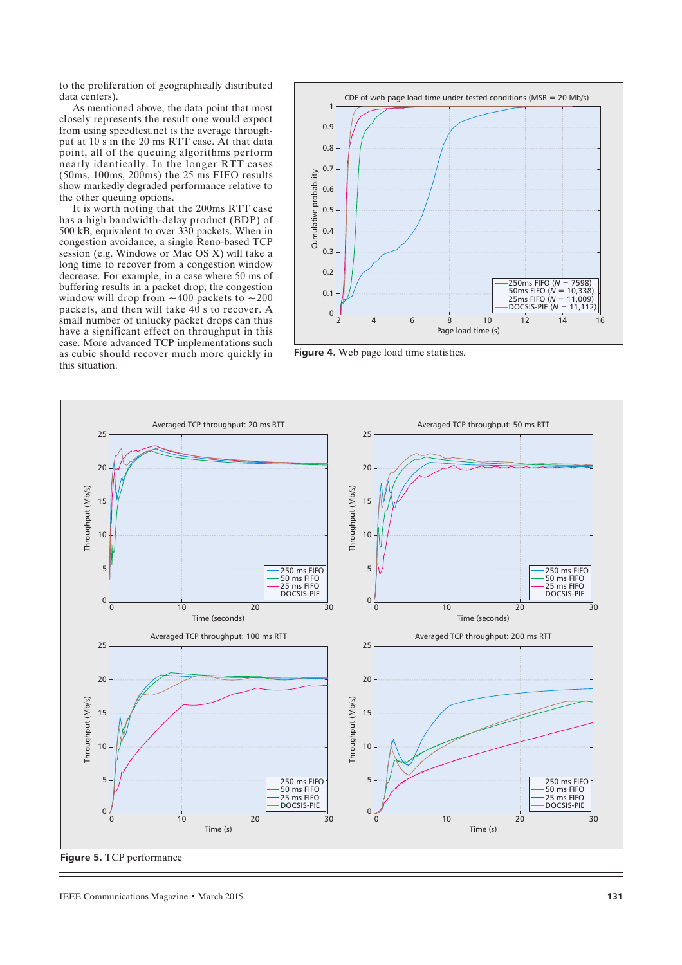to the proliferation of geographically distributed data centers).

As mentioned above, the data point that most closely represents the result one would expect from using speedtest.net is the average throughput at 10 s in the 20 ms RTT case. At that data point, all of the queuing algorithms perform nearly identically. In the longer RTT cases (50ms, 100ms, 200ms) the 25 ms FIFO results show markedly degraded performance relative to the other queuing options.

It is worth noting that the 200ms RTT case has a high bandwidth-delay product (BDP) of 500 kB, equivalent to over 330 packets. When in congestion avoidance, a single Reno-based TCP session (e.g. Windows or Mac OS X) will take a long time to recover from a congestion window decrease. For example, in a case where 50 ms of buffering results in a packet drop, the congestion window will drop from  $~100$  packets to  $~100$ packets, and then will take  $40 \text{ s}$  to recover. A small number of unlucky packet drops can thus have a significant effect on throughput in this case. More advanced TCP implementations such as cubic should recover much more quickly in this situation.



**Figure 4.** Web page load time statistics.



**Figure 5.** TCP performance